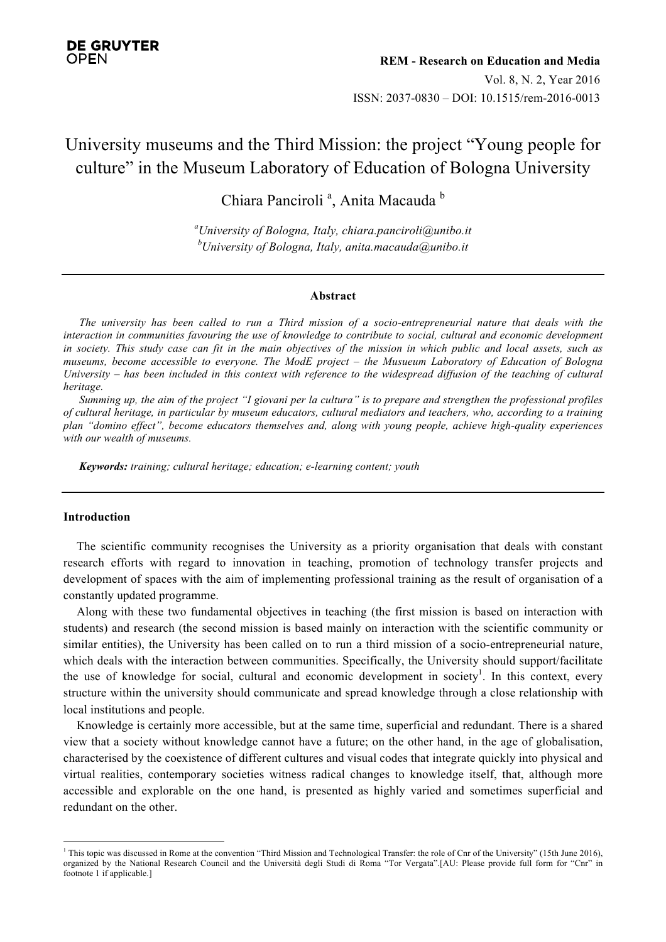Chiara Panciroli<sup>a</sup>, Anita Macauda<sup>b</sup>

*a University of Bologna, Italy, chiara.panciroli@unibo.it b University of Bologna, Italy, anita.macauda@unibo.it* 

#### **Abstract**

*The university has been called to run a Third mission of a socio-entrepreneurial nature that deals with the*  interaction in communities favouring the use of knowledge to contribute to social, cultural and economic development *in society. This study case can fit in the main objectives of the mission in which public and local assets, such as museums, become accessible to everyone. The ModE project – the Musueum Laboratory of Education of Bologna University – has been included in this context with reference to the widespread diffusion of the teaching of cultural heritage.*

*Summing up, the aim of the project "I giovani per la cultura" is to prepare and strengthen the professional profiles of cultural heritage, in particular by museum educators, cultural mediators and teachers, who, according to a training plan "domino effect", become educators themselves and, along with young people, achieve high-quality experiences with our wealth of museums.*

*Keywords: training; cultural heritage; education; e-learning content; youth*

### **Introduction**

The scientific community recognises the University as a priority organisation that deals with constant research efforts with regard to innovation in teaching, promotion of technology transfer projects and development of spaces with the aim of implementing professional training as the result of organisation of a constantly updated programme.

Along with these two fundamental objectives in teaching (the first mission is based on interaction with students) and research (the second mission is based mainly on interaction with the scientific community or similar entities), the University has been called on to run a third mission of a socio-entrepreneurial nature, which deals with the interaction between communities. Specifically, the University should support/facilitate the use of knowledge for social, cultural and economic development in society<sup>1</sup>. In this context, every structure within the university should communicate and spread knowledge through a close relationship with local institutions and people.

Knowledge is certainly more accessible, but at the same time, superficial and redundant. There is a shared view that a society without knowledge cannot have a future; on the other hand, in the age of globalisation, characterised by the coexistence of different cultures and visual codes that integrate quickly into physical and virtual realities, contemporary societies witness radical changes to knowledge itself, that, although more accessible and explorable on the one hand, is presented as highly varied and sometimes superficial and redundant on the other.

<sup>&</sup>lt;sup>1</sup> This topic was discussed in Rome at the convention "Third Mission and Technological Transfer: the role of Cnr of the University" (15th June 2016), organized by the National Research Council and the Università degli Studi di Roma "Tor Vergata".[AU: Please provide full form for "Cnr" in footnote 1 if applicable.]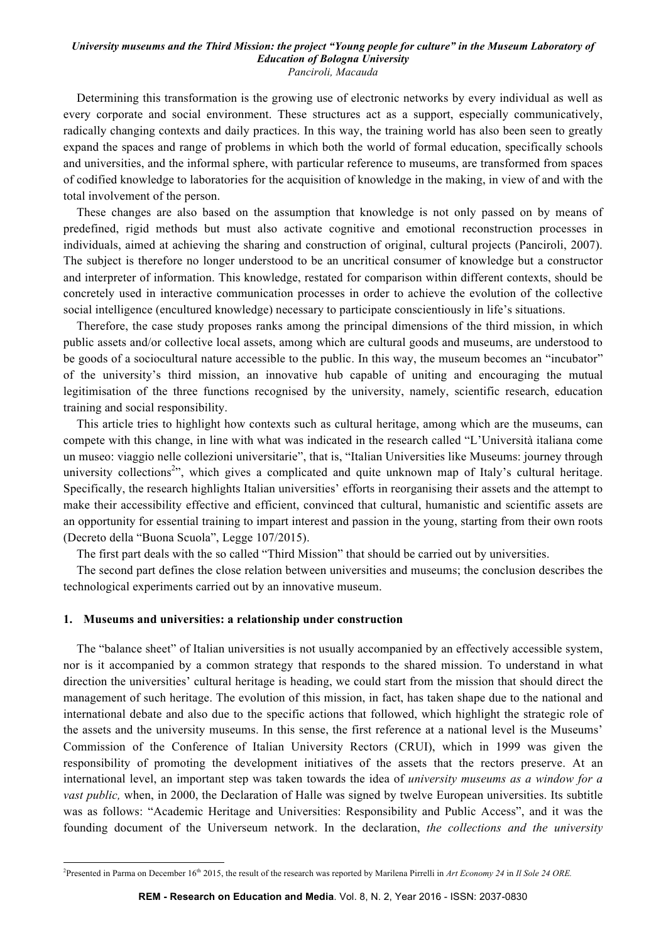Determining this transformation is the growing use of electronic networks by every individual as well as every corporate and social environment. These structures act as a support, especially communicatively, radically changing contexts and daily practices. In this way, the training world has also been seen to greatly expand the spaces and range of problems in which both the world of formal education, specifically schools and universities, and the informal sphere, with particular reference to museums, are transformed from spaces of codified knowledge to laboratories for the acquisition of knowledge in the making, in view of and with the total involvement of the person.

These changes are also based on the assumption that knowledge is not only passed on by means of predefined, rigid methods but must also activate cognitive and emotional reconstruction processes in individuals, aimed at achieving the sharing and construction of original, cultural projects (Panciroli, 2007). The subject is therefore no longer understood to be an uncritical consumer of knowledge but a constructor and interpreter of information. This knowledge, restated for comparison within different contexts, should be concretely used in interactive communication processes in order to achieve the evolution of the collective social intelligence (encultured knowledge) necessary to participate conscientiously in life's situations.

Therefore, the case study proposes ranks among the principal dimensions of the third mission, in which public assets and/or collective local assets, among which are cultural goods and museums, are understood to be goods of a sociocultural nature accessible to the public. In this way, the museum becomes an "incubator" of the university's third mission, an innovative hub capable of uniting and encouraging the mutual legitimisation of the three functions recognised by the university, namely, scientific research, education training and social responsibility.

This article tries to highlight how contexts such as cultural heritage, among which are the museums, can compete with this change, in line with what was indicated in the research called "L'Università italiana come un museo: viaggio nelle collezioni universitarie", that is, "Italian Universities like Museums: journey through university collections<sup>2</sup><sup>2</sup>, which gives a complicated and quite unknown map of Italy's cultural heritage. Specifically, the research highlights Italian universities' efforts in reorganising their assets and the attempt to make their accessibility effective and efficient, convinced that cultural, humanistic and scientific assets are an opportunity for essential training to impart interest and passion in the young, starting from their own roots (Decreto della "Buona Scuola", Legge 107/2015).

The first part deals with the so called "Third Mission" that should be carried out by universities.

The second part defines the close relation between universities and museums; the conclusion describes the technological experiments carried out by an innovative museum.

### **1. Museums and universities: a relationship under construction**

The "balance sheet" of Italian universities is not usually accompanied by an effectively accessible system, nor is it accompanied by a common strategy that responds to the shared mission. To understand in what direction the universities' cultural heritage is heading, we could start from the mission that should direct the management of such heritage. The evolution of this mission, in fact, has taken shape due to the national and international debate and also due to the specific actions that followed, which highlight the strategic role of the assets and the university museums. In this sense, the first reference at a national level is the Museums' Commission of the Conference of Italian University Rectors (CRUI), which in 1999 was given the responsibility of promoting the development initiatives of the assets that the rectors preserve. At an international level, an important step was taken towards the idea of *university museums as a window for a vast public,* when, in 2000, the Declaration of Halle was signed by twelve European universities. Its subtitle was as follows: "Academic Heritage and Universities: Responsibility and Public Access", and it was the founding document of the Universeum network. In the declaration, *the collections and the university* 

<sup>&</sup>lt;sup>2</sup> Presented in Parma on December 16<sup>th</sup> 2015, the result of the research was reported by Marilena Pirrelli in *Art Economy 24* in *Il Sole 24 ORE*.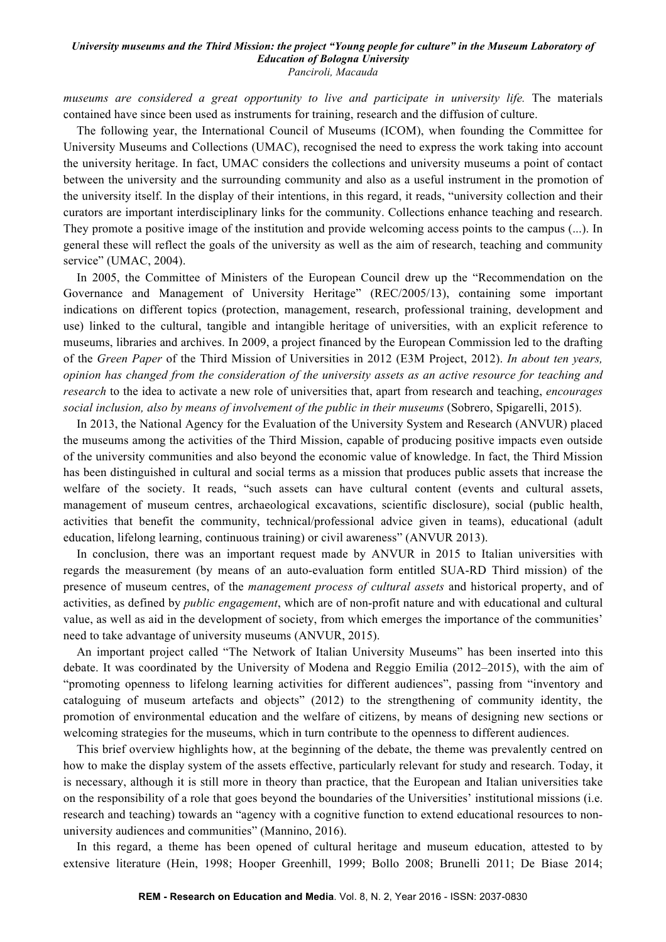*museums are considered a great opportunity to live and participate in university life.* The materials contained have since been used as instruments for training, research and the diffusion of culture.

The following year, the International Council of Museums (ICOM), when founding the Committee for University Museums and Collections (UMAC), recognised the need to express the work taking into account the university heritage. In fact, UMAC considers the collections and university museums a point of contact between the university and the surrounding community and also as a useful instrument in the promotion of the university itself. In the display of their intentions, in this regard, it reads, "university collection and their curators are important interdisciplinary links for the community. Collections enhance teaching and research. They promote a positive image of the institution and provide welcoming access points to the campus (...). In general these will reflect the goals of the university as well as the aim of research, teaching and community service" (UMAC, 2004).

In 2005, the Committee of Ministers of the European Council drew up the "Recommendation on the Governance and Management of University Heritage" (REC/2005/13), containing some important indications on different topics (protection, management, research, professional training, development and use) linked to the cultural, tangible and intangible heritage of universities, with an explicit reference to museums, libraries and archives. In 2009, a project financed by the European Commission led to the drafting of the *Green Paper* of the Third Mission of Universities in 2012 (E3M Project, 2012). *In about ten years, opinion has changed from the consideration of the university assets as an active resource for teaching and research* to the idea to activate a new role of universities that, apart from research and teaching, *encourages social inclusion, also by means of involvement of the public in their museums* (Sobrero, Spigarelli, 2015).

In 2013, the National Agency for the Evaluation of the University System and Research (ANVUR) placed the museums among the activities of the Third Mission, capable of producing positive impacts even outside of the university communities and also beyond the economic value of knowledge. In fact, the Third Mission has been distinguished in cultural and social terms as a mission that produces public assets that increase the welfare of the society. It reads, "such assets can have cultural content (events and cultural assets, management of museum centres, archaeological excavations, scientific disclosure), social (public health, activities that benefit the community, technical/professional advice given in teams), educational (adult education, lifelong learning, continuous training) or civil awareness" (ANVUR 2013).

In conclusion, there was an important request made by ANVUR in 2015 to Italian universities with regards the measurement (by means of an auto-evaluation form entitled SUA-RD Third mission) of the presence of museum centres, of the *management process of cultural assets* and historical property, and of activities, as defined by *public engagement*, which are of non-profit nature and with educational and cultural value, as well as aid in the development of society, from which emerges the importance of the communities' need to take advantage of university museums (ANVUR, 2015).

An important project called "The Network of Italian University Museums" has been inserted into this debate. It was coordinated by the University of Modena and Reggio Emilia (2012–2015), with the aim of "promoting openness to lifelong learning activities for different audiences", passing from "inventory and cataloguing of museum artefacts and objects" (2012) to the strengthening of community identity, the promotion of environmental education and the welfare of citizens, by means of designing new sections or welcoming strategies for the museums, which in turn contribute to the openness to different audiences.

This brief overview highlights how, at the beginning of the debate, the theme was prevalently centred on how to make the display system of the assets effective, particularly relevant for study and research. Today, it is necessary, although it is still more in theory than practice, that the European and Italian universities take on the responsibility of a role that goes beyond the boundaries of the Universities' institutional missions (i.e. research and teaching) towards an "agency with a cognitive function to extend educational resources to nonuniversity audiences and communities" (Mannino, 2016).

In this regard, a theme has been opened of cultural heritage and museum education, attested to by extensive literature (Hein, 1998; Hooper Greenhill, 1999; Bollo 2008; Brunelli 2011; De Biase 2014;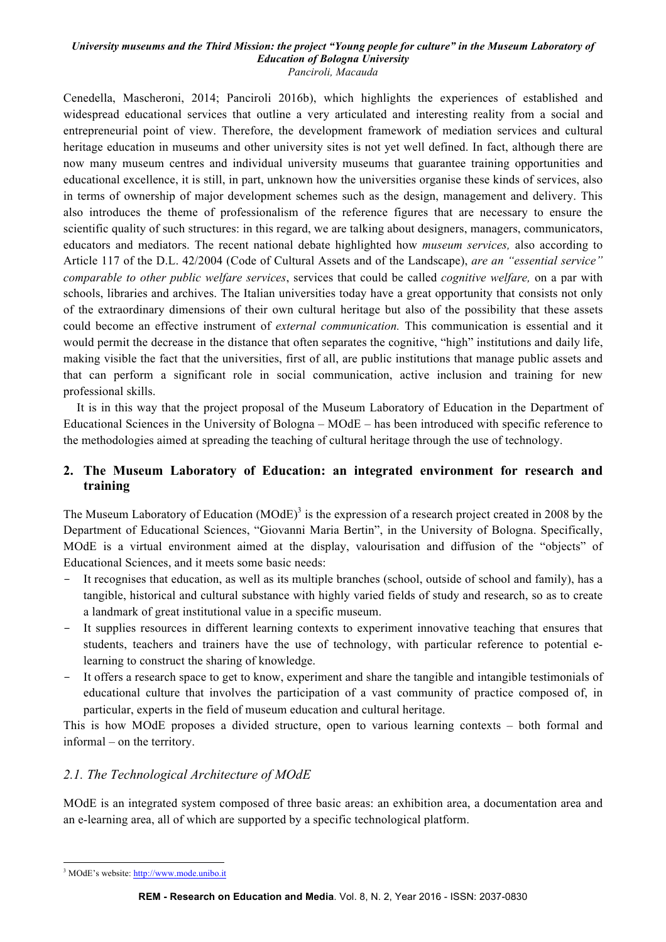Cenedella, Mascheroni, 2014; Panciroli 2016b), which highlights the experiences of established and widespread educational services that outline a very articulated and interesting reality from a social and entrepreneurial point of view. Therefore, the development framework of mediation services and cultural heritage education in museums and other university sites is not yet well defined. In fact, although there are now many museum centres and individual university museums that guarantee training opportunities and educational excellence, it is still, in part, unknown how the universities organise these kinds of services, also in terms of ownership of major development schemes such as the design, management and delivery. This also introduces the theme of professionalism of the reference figures that are necessary to ensure the scientific quality of such structures: in this regard, we are talking about designers, managers, communicators, educators and mediators. The recent national debate highlighted how *museum services,* also according to Article 117 of the D.L. 42/2004 (Code of Cultural Assets and of the Landscape), *are an "essential service" comparable to other public welfare services*, services that could be called *cognitive welfare,* on a par with schools, libraries and archives. The Italian universities today have a great opportunity that consists not only of the extraordinary dimensions of their own cultural heritage but also of the possibility that these assets could become an effective instrument of *external communication.* This communication is essential and it would permit the decrease in the distance that often separates the cognitive, "high" institutions and daily life, making visible the fact that the universities, first of all, are public institutions that manage public assets and that can perform a significant role in social communication, active inclusion and training for new professional skills.

It is in this way that the project proposal of the Museum Laboratory of Education in the Department of Educational Sciences in the University of Bologna – MOdE – has been introduced with specific reference to the methodologies aimed at spreading the teaching of cultural heritage through the use of technology.

# **2. The Museum Laboratory of Education: an integrated environment for research and training**

The Museum Laboratory of Education (MOdE)<sup>3</sup> is the expression of a research project created in 2008 by the Department of Educational Sciences, "Giovanni Maria Bertin", in the University of Bologna. Specifically, MOdE is a virtual environment aimed at the display, valourisation and diffusion of the "objects" of Educational Sciences, and it meets some basic needs:

- It recognises that education, as well as its multiple branches (school, outside of school and family), has a tangible, historical and cultural substance with highly varied fields of study and research, so as to create a landmark of great institutional value in a specific museum.
- It supplies resources in different learning contexts to experiment innovative teaching that ensures that students, teachers and trainers have the use of technology, with particular reference to potential elearning to construct the sharing of knowledge.
- It offers a research space to get to know, experiment and share the tangible and intangible testimonials of educational culture that involves the participation of a vast community of practice composed of, in particular, experts in the field of museum education and cultural heritage.

This is how MOdE proposes a divided structure, open to various learning contexts – both formal and informal – on the territory.

## *2.1. The Technological Architecture of MOdE*

MOdE is an integrated system composed of three basic areas: an exhibition area, a documentation area and an e-learning area, all of which are supported by a specific technological platform.

<sup>&</sup>lt;sup>3</sup> MOdE's website: http://www.mode.unibo.it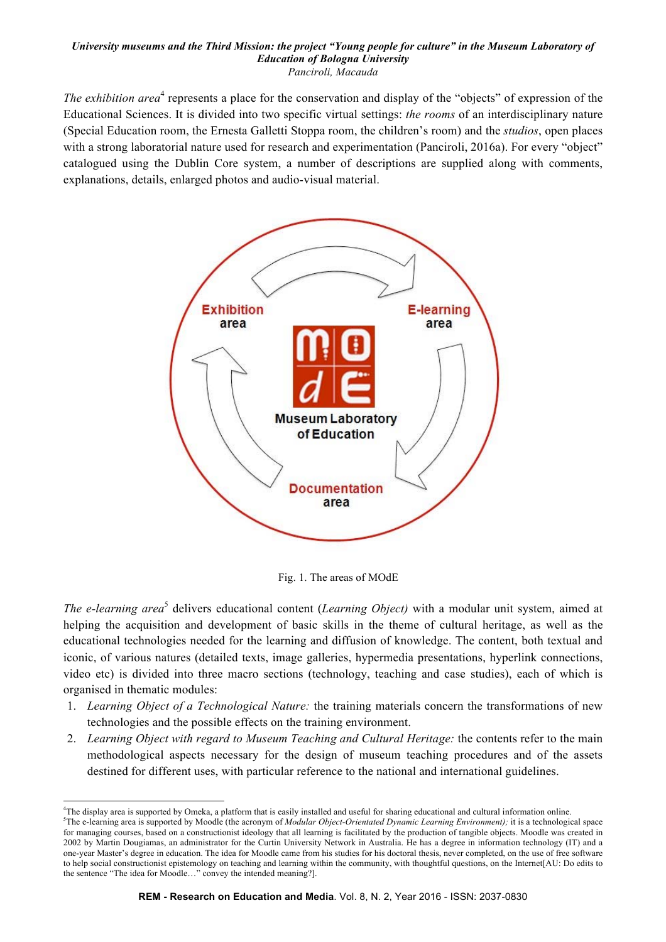*The exhibition area*<sup>4</sup> represents a place for the conservation and display of the "objects" of expression of the Educational Sciences. It is divided into two specific virtual settings: *the rooms* of an interdisciplinary nature (Special Education room, the Ernesta Galletti Stoppa room, the children's room) and the *studios*, open places with a strong laboratorial nature used for research and experimentation (Panciroli, 2016a). For every "object" catalogued using the Dublin Core system, a number of descriptions are supplied along with comments, explanations, details, enlarged photos and audio-visual material.



Fig. 1. The areas of MOdE

*The e-learning area*<sup>5</sup> delivers educational content (*Learning Object*) with a modular unit system, aimed at helping the acquisition and development of basic skills in the theme of cultural heritage, as well as the educational technologies needed for the learning and diffusion of knowledge. The content, both textual and iconic, of various natures (detailed texts, image galleries, hypermedia presentations, hyperlink connections, video etc) is divided into three macro sections (technology, teaching and case studies), each of which is organised in thematic modules:

- 1. *Learning Object of a Technological Nature:* the training materials concern the transformations of new technologies and the possible effects on the training environment.
- 2. *Learning Object with regard to Museum Teaching and Cultural Heritage:* the contents refer to the main methodological aspects necessary for the design of museum teaching procedures and of the assets destined for different uses, with particular reference to the national and international guidelines.

 <sup>4</sup>The display area is supported by Omeka, a platform that is easily installed and useful for sharing educational and cultural information online. <sup>5</sup>The e-learning area is supported by Moodle (the expression of *Modular O* 

<sup>&</sup>lt;sup>5</sup>The e-learning area is supported by Moodle (the acronym of *Modular Object-Orientated Dynamic Learning Environment);* it is a technological space for managing courses, based on a constructionist ideology that all learning is facilitated by the production of tangible objects. Moodle was created in 2002 by Martin Dougiamas, an administrator for the Curtin University Network in Australia. He has a degree in information technology (IT) and a one-year Master's degree in education. The idea for Moodle came from his studies for his doctoral thesis, never completed, on the use of free software to help social constructionist epistemology on teaching and learning within the community, with thoughtful questions, on the Internet[AU: Do edits to the sentence "The idea for Moodle…" convey the intended meaning?].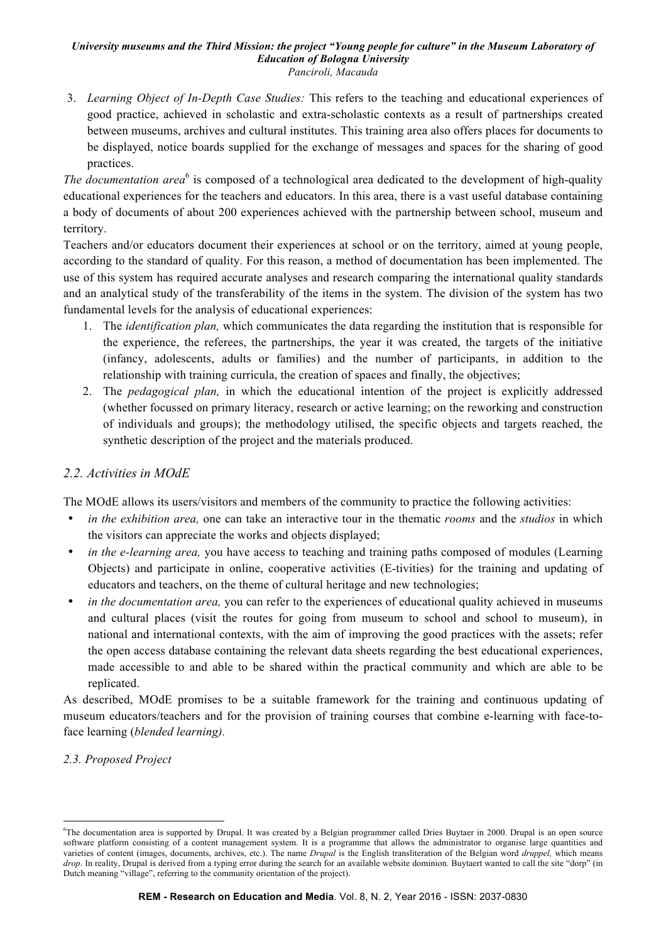3. *Learning Object of In-Depth Case Studies:* This refers to the teaching and educational experiences of good practice, achieved in scholastic and extra-scholastic contexts as a result of partnerships created between museums, archives and cultural institutes. This training area also offers places for documents to be displayed, notice boards supplied for the exchange of messages and spaces for the sharing of good practices.

*The documentation area*<sup>6</sup> is composed of a technological area dedicated to the development of high-quality educational experiences for the teachers and educators. In this area, there is a vast useful database containing a body of documents of about 200 experiences achieved with the partnership between school, museum and territory.

Teachers and/or educators document their experiences at school or on the territory, aimed at young people, according to the standard of quality. For this reason, a method of documentation has been implemented. The use of this system has required accurate analyses and research comparing the international quality standards and an analytical study of the transferability of the items in the system. The division of the system has two fundamental levels for the analysis of educational experiences:

- 1. The *identification plan,* which communicates the data regarding the institution that is responsible for the experience, the referees, the partnerships, the year it was created, the targets of the initiative (infancy, adolescents, adults or families) and the number of participants, in addition to the relationship with training curricula, the creation of spaces and finally, the objectives;
- 2. The *pedagogical plan,* in which the educational intention of the project is explicitly addressed (whether focussed on primary literacy, research or active learning; on the reworking and construction of individuals and groups); the methodology utilised, the specific objects and targets reached, the synthetic description of the project and the materials produced.

# *2.2. Activities in MOdE*

The MOdE allows its users/visitors and members of the community to practice the following activities:

- *in the exhibition area,* one can take an interactive tour in the thematic *rooms* and the *studios* in which the visitors can appreciate the works and objects displayed;
- *in the e-learning area,* you have access to teaching and training paths composed of modules (Learning Objects) and participate in online, cooperative activities (E-tivities) for the training and updating of educators and teachers, on the theme of cultural heritage and new technologies;
- *in the documentation area, you can refer to the experiences of educational quality achieved in museums* and cultural places (visit the routes for going from museum to school and school to museum), in national and international contexts, with the aim of improving the good practices with the assets; refer the open access database containing the relevant data sheets regarding the best educational experiences, made accessible to and able to be shared within the practical community and which are able to be replicated.

As described, MOdE promises to be a suitable framework for the training and continuous updating of museum educators/teachers and for the provision of training courses that combine e-learning with face-toface learning (*blended learning).*

## *2.3. Proposed Project*

<sup>6</sup> The documentation area is supported by Drupal. It was created by a Belgian programmer called Dries Buytaer in 2000. Drupal is an open source software platform consisting of a content management system. It is a programme that allows the administrator to organise large quantities and varieties of content (images, documents, archives, etc.). The name *Drupal* is the English transliteration of the Belgian word *druppel,* which means *drop*. In reality, Drupal is derived from a typing error during the search for an available website dominion. Buytaert wanted to call the site "dorp" (in Dutch meaning "village", referring to the community orientation of the project).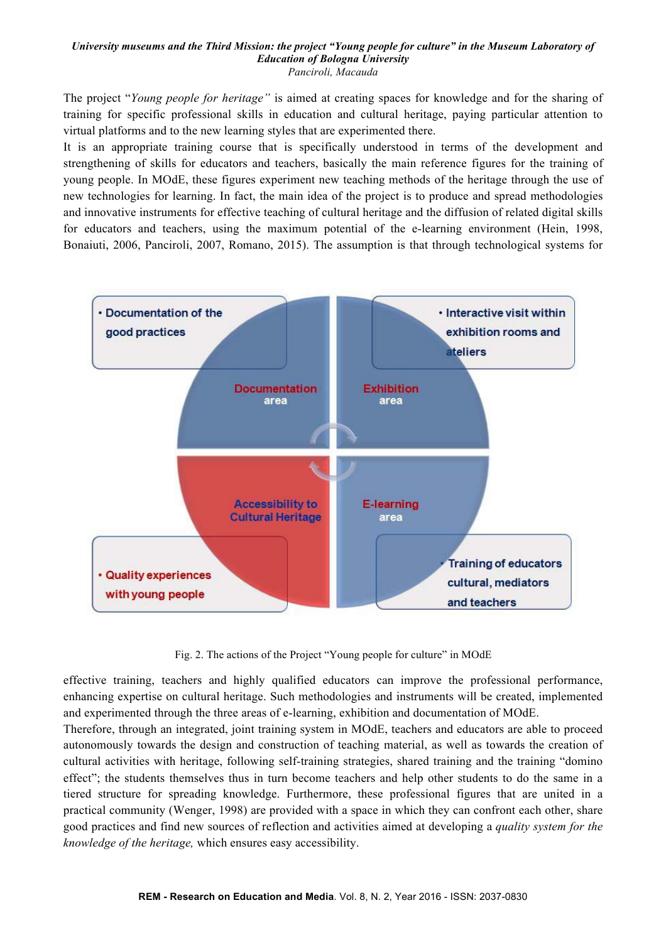The project "*Young people for heritage"* is aimed at creating spaces for knowledge and for the sharing of training for specific professional skills in education and cultural heritage, paying particular attention to virtual platforms and to the new learning styles that are experimented there.

It is an appropriate training course that is specifically understood in terms of the development and strengthening of skills for educators and teachers, basically the main reference figures for the training of young people. In MOdE, these figures experiment new teaching methods of the heritage through the use of new technologies for learning. In fact, the main idea of the project is to produce and spread methodologies and innovative instruments for effective teaching of cultural heritage and the diffusion of related digital skills for educators and teachers, using the maximum potential of the e-learning environment (Hein, 1998, Bonaiuti, 2006, Panciroli, 2007, Romano, 2015). The assumption is that through technological systems for



Fig. 2. The actions of the Project "Young people for culture" in MOdE

effective training, teachers and highly qualified educators can improve the professional performance, enhancing expertise on cultural heritage. Such methodologies and instruments will be created, implemented and experimented through the three areas of e-learning, exhibition and documentation of MOdE.

Therefore, through an integrated, joint training system in MOdE, teachers and educators are able to proceed autonomously towards the design and construction of teaching material, as well as towards the creation of cultural activities with heritage, following self-training strategies, shared training and the training "domino effect"; the students themselves thus in turn become teachers and help other students to do the same in a tiered structure for spreading knowledge. Furthermore, these professional figures that are united in a practical community (Wenger, 1998) are provided with a space in which they can confront each other, share good practices and find new sources of reflection and activities aimed at developing a *quality system for the knowledge of the heritage,* which ensures easy accessibility.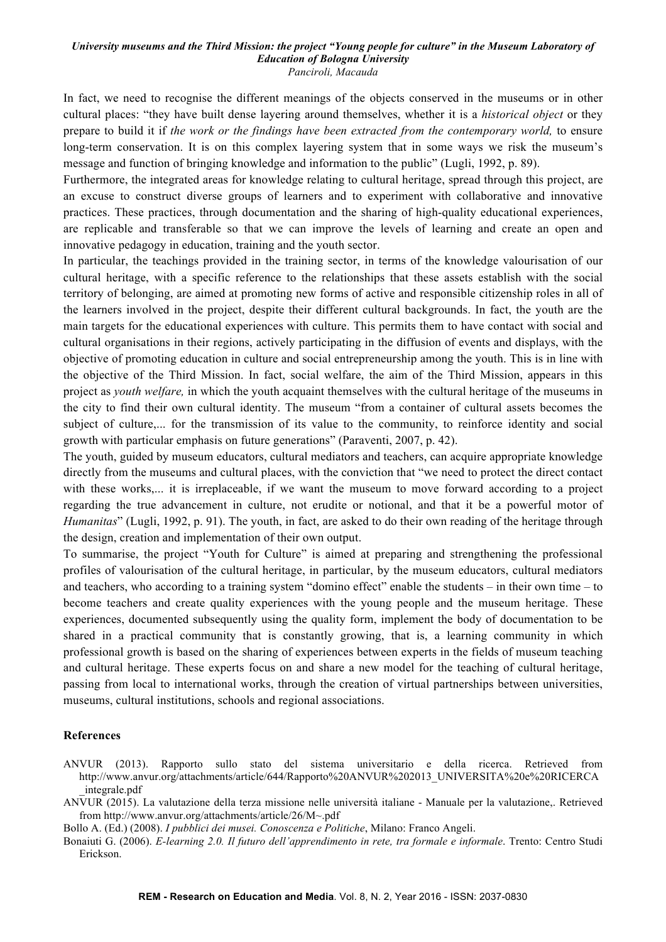In fact, we need to recognise the different meanings of the objects conserved in the museums or in other cultural places: "they have built dense layering around themselves, whether it is a *historical object* or they prepare to build it if *the work or the findings have been extracted from the contemporary world,* to ensure long-term conservation. It is on this complex layering system that in some ways we risk the museum's message and function of bringing knowledge and information to the public" (Lugli, 1992, p. 89).

Furthermore, the integrated areas for knowledge relating to cultural heritage, spread through this project, are an excuse to construct diverse groups of learners and to experiment with collaborative and innovative practices. These practices, through documentation and the sharing of high-quality educational experiences, are replicable and transferable so that we can improve the levels of learning and create an open and innovative pedagogy in education, training and the youth sector.

In particular, the teachings provided in the training sector, in terms of the knowledge valourisation of our cultural heritage, with a specific reference to the relationships that these assets establish with the social territory of belonging, are aimed at promoting new forms of active and responsible citizenship roles in all of the learners involved in the project, despite their different cultural backgrounds. In fact, the youth are the main targets for the educational experiences with culture. This permits them to have contact with social and cultural organisations in their regions, actively participating in the diffusion of events and displays, with the objective of promoting education in culture and social entrepreneurship among the youth. This is in line with the objective of the Third Mission. In fact, social welfare, the aim of the Third Mission, appears in this project as *youth welfare,* in which the youth acquaint themselves with the cultural heritage of the museums in the city to find their own cultural identity. The museum "from a container of cultural assets becomes the subject of culture,... for the transmission of its value to the community, to reinforce identity and social growth with particular emphasis on future generations" (Paraventi, 2007, p. 42).

The youth, guided by museum educators, cultural mediators and teachers, can acquire appropriate knowledge directly from the museums and cultural places, with the conviction that "we need to protect the direct contact with these works,... it is irreplaceable, if we want the museum to move forward according to a project regarding the true advancement in culture, not erudite or notional, and that it be a powerful motor of *Humanitas*" (Lugli, 1992, p. 91). The youth, in fact, are asked to do their own reading of the heritage through the design, creation and implementation of their own output.

To summarise, the project "Youth for Culture" is aimed at preparing and strengthening the professional profiles of valourisation of the cultural heritage, in particular, by the museum educators, cultural mediators and teachers, who according to a training system "domino effect" enable the students – in their own time – to become teachers and create quality experiences with the young people and the museum heritage. These experiences, documented subsequently using the quality form, implement the body of documentation to be shared in a practical community that is constantly growing, that is, a learning community in which professional growth is based on the sharing of experiences between experts in the fields of museum teaching and cultural heritage. These experts focus on and share a new model for the teaching of cultural heritage, passing from local to international works, through the creation of virtual partnerships between universities, museums, cultural institutions, schools and regional associations.

### **References**

ANVUR (2013). Rapporto sullo stato del sistema universitario e della ricerca. Retrieved from http://www.anvur.org/attachments/article/644/Rapporto%20ANVUR%202013\_UNIVERSITA%20e%20RICERCA \_integrale.pdf

ANVUR (2015). La valutazione della terza missione nelle università italiane - Manuale per la valutazione,. Retrieved from http://www.anvur.org/attachments/article/26/M~.pdf

- Bollo A. (Ed.) (2008). *I pubblici dei musei. Conoscenza e Politiche*, Milano: Franco Angeli.
- Bonaiuti G. (2006). *E-learning 2.0. Il futuro dell'apprendimento in rete, tra formale e informale*. Trento: Centro Studi Erickson.